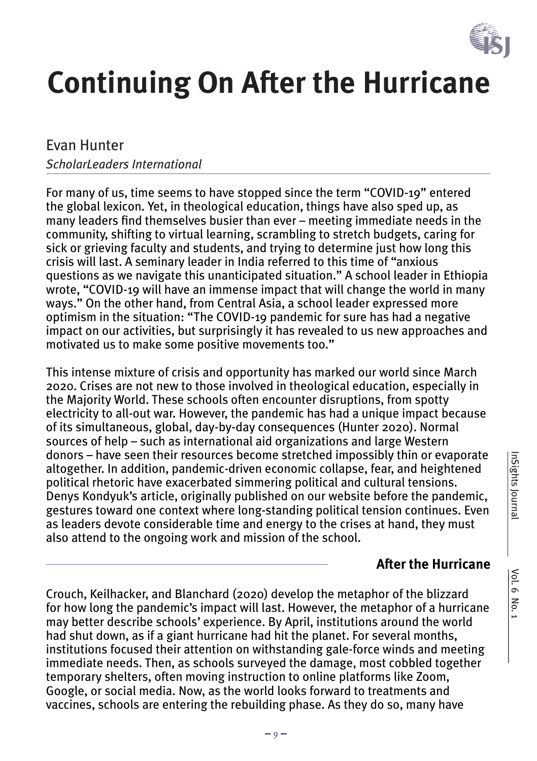

# **Continuing On After the Hurricane**

### Evan Hunter

#### *ScholarLeaders International*

For many of us, time seems to have stopped since the term "COVID-19" entered the global lexicon. Yet, in theological education, things have also sped up, as many leaders find themselves busier than ever – meeting immediate needs in the community, shifting to virtual learning, scrambling to stretch budgets, caring for sick or grieving faculty and students, and trying to determine just how long this crisis will last. A seminary leader in India referred to this time of "anxious questions as we navigate this unanticipated situation." A school leader in Ethiopia wrote, "COVID-19 will have an immense impact that will change the world in many ways." On the other hand, from Central Asia, a school leader expressed more optimism in the situation: "The COVID-19 pandemic for sure has had a negative impact on our activities, but surprisingly it has revealed to us new approaches and motivated us to make some positive movements too."

This intense mixture of crisis and opportunity has marked our world since March 2020. Crises are not new to those involved in theological education, especially in the Majority World. These schools often encounter disruptions, from spotty electricity to all-out war. However, the pandemic has had a unique impact because of its simultaneous, global, day-by-day consequences (Hunter 2020). Normal sources of help – such as international aid organizations and large Western donors – have seen their resources become stretched impossibly thin or evaporate altogether. In addition, pandemic-driven economic collapse, fear, and heightened political rhetoric have exacerbated simmering political and cultural tensions. Denys Kondyuk's article, originally published on our website before the pandemic, gestures toward one context where long-standing political tension continues. Even as leaders devote considerable time and energy to the crises at hand, they must also attend to the ongoing work and mission of the school.

#### **After the Hurricane**

Crouch, Keilhacker, and Blanchard (2020) develop the metaphor of the blizzard for how long the pandemic's impact will last. However, the metaphor of a hurricane may better describe schools' experience. By April, institutions around the world had shut down, as if a giant hurricane had hit the planet. For several months, institutions focused their attention on withstanding gale-force winds and meeting immediate needs. Then, as schools surveyed the damage, most cobbled together temporary shelters, often moving instruction to online platforms like Zoom, Google, or social media. Now, as the world looks forward to treatments and vaccines, schools are entering the rebuilding phase. As they do so, many have